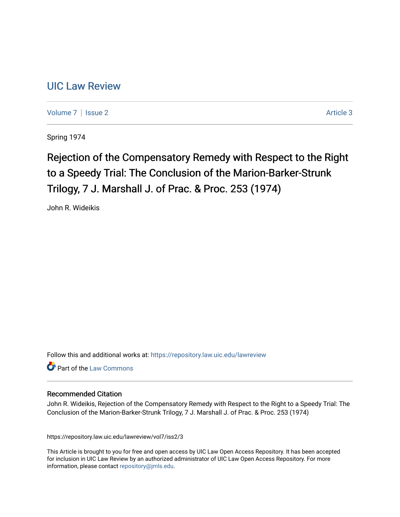## [UIC Law Review](https://repository.law.uic.edu/lawreview)

[Volume 7](https://repository.law.uic.edu/lawreview/vol7) | [Issue 2](https://repository.law.uic.edu/lawreview/vol7/iss2) Article 3

Spring 1974

# Rejection of the Compensatory Remedy with Respect to the Right to a Speedy Trial: The Conclusion of the Marion-Barker-Strunk Trilogy, 7 J. Marshall J. of Prac. & Proc. 253 (1974)

John R. Wideikis

Follow this and additional works at: [https://repository.law.uic.edu/lawreview](https://repository.law.uic.edu/lawreview?utm_source=repository.law.uic.edu%2Flawreview%2Fvol7%2Fiss2%2F3&utm_medium=PDF&utm_campaign=PDFCoverPages) 

Part of the [Law Commons](http://network.bepress.com/hgg/discipline/578?utm_source=repository.law.uic.edu%2Flawreview%2Fvol7%2Fiss2%2F3&utm_medium=PDF&utm_campaign=PDFCoverPages)

#### Recommended Citation

John R. Wideikis, Rejection of the Compensatory Remedy with Respect to the Right to a Speedy Trial: The Conclusion of the Marion-Barker-Strunk Trilogy, 7 J. Marshall J. of Prac. & Proc. 253 (1974)

https://repository.law.uic.edu/lawreview/vol7/iss2/3

This Article is brought to you for free and open access by UIC Law Open Access Repository. It has been accepted for inclusion in UIC Law Review by an authorized administrator of UIC Law Open Access Repository. For more information, please contact [repository@jmls.edu.](mailto:repository@jmls.edu)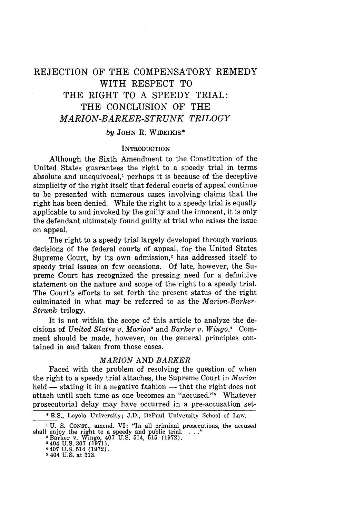### REJECTION OF THE COMPENSATORY REMEDY WITH RESPECT TO THE RIGHT TO A SPEEDY TRIAL: THE CONCLUSION OF THE *MARION-BARKER-STRUNK TRILOGY*

#### *by* JOHN R. WIDEIKIS\*

#### **INTRODUCTION**

Although the Sixth Amendment to the Constitution of the United States guarantees the right to a speedy trial in terms absolute and unequivocal,' perhaps it is because of the deceptive simplicity of the right itself that federal courts of appeal continue to be presented with numerous cases involving claims that the right has been denied. While the right to a speedy trial is equally applicable to and invoked by the guilty and the innocent, it is only the defendant ultimately found guilty at trial who raises the issue on appeal.

The right to a speedy trial largely developed through various decisions of the federal courts of appeal, for the United States Supreme Court, by its own admission,<sup>2</sup> has addressed itself to speedy trial issues on few occasions. Of late, however, the Supreme Court has recognized the pressing need for a definitive statement on the nature and scope of the right to a speedy trial. The Court's efforts to set forth the present status of the right culminated in what may be referred to as the *Marion-Barker-Strunk* trilogy.

It is not within the scope of this article to analyze the decisions of *United States v. Marion*<sup>3</sup> and *Barker v. Wingo.*<sup>4</sup> Comment should be made, however, on the general principles contained in and taken from those cases.

#### *MARION* AND *BARKER*

Faced with the problem of resolving the question of when the right to a speedy trial attaches, the Supreme Court in *Marion* held  $-$  stating it in a negative fashion  $-$  that the right does not attach until such time as one becomes an "accused."<sup>5</sup> Whatever prosecutorial delay may have occurred in a pre-accusation set-

<sup>\*</sup> B.S., Loyola University; J.D., DePaul University School of Law.

<sup>&</sup>lt;sup>1</sup> U. S. CONST., amend. VI: "In all criminal prosecutions, the accused shall enjoy the right to a speedy and public trial. . . ."<br><sup>2</sup> Barker v. Wingo, 407 U.S. 514, 515 (1972).

<sup>3404</sup> U.S. 307 (1971). 4407 U.S. 514 (1972).

**<sup>5</sup>** 404 **U.S.** at **313.**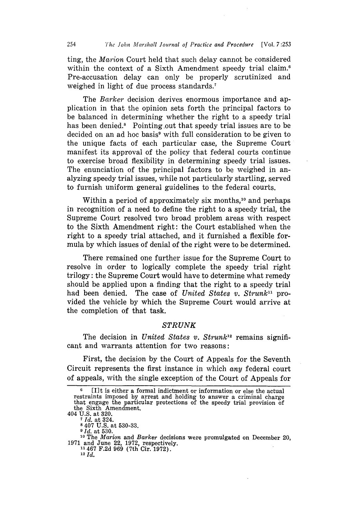ting, the *Marion* Court held that such delay cannot be considered within the context of a Sixth Amendment speedy trial claim.<sup>6</sup> Pre-accusation delay can only be properly scrutinized and weighed in light of due process standards.<sup>7</sup>

The *Barker* decision derives enormous importance and application in that the opinion sets forth the principal factors to be balanced in determining whether the right to a speedy trial has been denied.<sup>8</sup> Pointing out that speedy trial issues are to be decided on an ad hoc basis<sup>9</sup> with full consideration to be given to the unique facts of each particular case, the Supreme Court manifest its approval of the policy that federal courts continue to exercise broad flexibility in determining speedy trial issues. The enunciation of the principal factors to be weighed in analyzing speedy trial issues, while not particularly startling, served to furnish uniform general guidelines to the federal courts.

Within a period of approximately six months,<sup>10</sup> and perhaps in recognition of a need to define the right to a speedy trial, the Supreme Court resolved two broad problem areas with respect to the Sixth Amendment right: the Court established when the right to a speedy trial attached, and it furnished a flexible formula **by** which issues of denial of the right were to be determined.

There remained one further issue for the Supreme Court to resolve in order to logically complete the speedy trial right trilogy: the Supreme Court would have to determine what remedy should be applied upon a finding that the right to a speedy trial had been denied. The case of *United States v. Strunk*<sup>11</sup> provided the vehicle by which the Supreme Court would arrive at the completion of that task.

#### *STRUNK*

The decision in *United States v. Strunk12* remains significant and warrants attention for two reasons:

First, the decision by the Court of Appeals for the Seventh Circuit represents the first instance in which *any* federal court of appeals, with the single exception of the Court of Appeals for

**8** 407 U.S. at 530-33.

*9 Id.* at 530.

**<sup>6</sup>**[I]t is either a formal indictment or information or else the actual restraints imposed by arrest and holding to answer a criminal charge that engage the particular protections of the speedy trial provision of the Sixth Amendment. 404 U.S. at 320. *7Id.* at 324.

**<sup>10</sup>**The *Marion* and *Barker* decisions were promulgated on December 20, 1971 and June 22, 1972, respectively.<br><sup>11</sup>467 F.2d 969 (7th Cir. 1972).

<sup>12</sup> *Id.*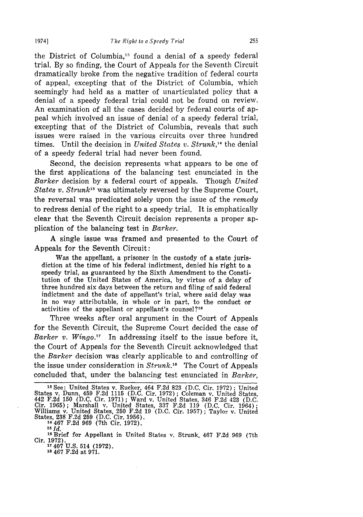the District of Columbia,"' found a denial of a speedy federal trial. By so finding, the Court of Appeals for the Seventh Circuit dramatically broke from the negative tradition of federal courts of appeal, excepting that of the District of Columbia, which seemingly had held as a matter of unarticulated policy that a denial of a speedy federal trial could not be found on review. An examination of all the cases decided by federal courts of appeal which involved an issue of denial of a speedy federal trial, excepting that of the District of Columbia, reveals that such issues were raised in the various circuits over three hundred times. Until the decision in *United States v. Strunk*<sup>14</sup> the denial of a speedy federal trial had never been found.

Second, the decision represents what appears to be one of the first applications of the balancing test enunciated in the *Barker* decision by a federal court of appeals. Though *United States v. Strunk*<sup>15</sup> was ultimately reversed by the Supreme Court, the reversal was predicated solely upon the issue of the *remedy* to redress denial of the right to a speedy trial. It is emphatically clear that the Seventh Circuit decision represents a proper application of the balancing test in *Barker.*

A single issue was framed and presented to the Court of Appeals for the Seventh Circuit:

Was the appellant, a prisoner in the custody of a state jurisdiction at the time of his federal indictment, denied his right to a speedy trial, as guaranteed by the Sixth Amendment to the Constitution of the United States of America, by virtue of a delay of three hundred six days between the return and filing of said federal indictment and the date of appellant's trial, where said delay was in no way attributable, in whole or in part, to the conduct or activities of the appellant or appellant's counsel?16

Three weeks after oral argument in the Court of Appeals for the Seventh Circuit, the Supreme Court decided the case of *Barker v. Wingo."* In addressing itself to the issue before it, the Court of Appeals for the Seventh Circuit acknowledged that the *Barker* decision was clearly applicable to and controlling of the issue under consideration in *Strunk.18* The Court of Appeals concluded that, under the balancing test enunciated in *Barker,*

**<sup>15</sup>***Id.*

**<sup>18</sup>**467 F.2d at 971.

**Is** See: United States v. Rucker, 464 F.2d 823 (D.C. Cir. 1972); United States v. Dunn, 459 F.2d 1115 (D.C. Cir. 1972); Coleman v. United States, 442 F.2d 150 (D.C. Cir. 1971); Ward v. United States, 346 F.2d 423 (D.C. Cir. 1965); Marshall v. United States, 337 F.2d 119 (D.C. Cir. 1964); Willi States, 238 F.2d 259 (D.C. Cir. 1956). <sup>14467</sup>F.2d 969 (7th Cir. 1972).

<sup>16</sup>Brief for Appellant in United States v. Strunk, 467 F.2d 969 (7th Cir. 1972). **<sup>17407</sup>**U.S. 514 (1972).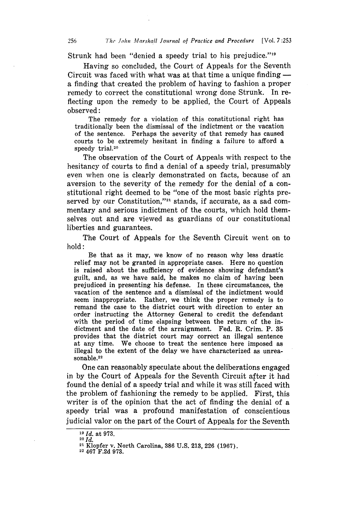Strunk had been "denied a speedy trial to his prejudice."<sup>19</sup>

Having so concluded, the Court of Appeals for the Seventh Circuit was faced with what was at that time a unique finding  a finding that created the problem of having to fashion a proper remedy to correct the constitutional wrong done Strunk. In reflecting upon the remedy to be applied, the Court of Appeals observed:

The remedy for a violation of this constitutional right has traditionally been the dismissal of the indictment or the vacation of the sentence. Perhaps the severity of that remedy has caused courts to be extremely hesitant in finding a failure to afford a speedy trial.<sup>20</sup>

The observation of the Court of Appeals with respect to the hesitancy of courts to find a denial of a speedy trial, presumably even when one is clearly demonstrated on facts, because of an aversion to the severity of the remedy for the denial of a constitutional right deemed to be "one of the most basic rights preserved by our Constitution,"<sup>21</sup> stands, if accurate, as a sad commentary and serious indictment of the courts, which hold themselves out and are viewed as guardians of our constitutional liberties and guarantees.

The Court of Appeals for the Seventh Circuit went on to hold:

Be that as it may, we know of no reason why less drastic relief may not be granted in appropriate cases. Here no question is raised about the sufficiency of evidence showing defendant's guilt, and, as we have said, he makes no claim of having been prejudiced in presenting his defense. In these circumstances, the vacation of the sentence and a dismissal of the indictment would seem inappropriate. Rather, we think the proper remedy is to remand the case to the district court with direction to enter an order instructing the Attorney General to credit the defendant with the period of time elapsing between the return of the indictment and the date of the arraignment. Fed. R. Crim. P. **35** provides that the district court may correct an illegal sentence at any time. We choose to treat the sentence here imposed as illegal to the extent of the delay we have characterized as unreasonable.<sup>22</sup>

One can reasonably speculate about the deliberations engaged in **by** the Court of Appeals for the Seventh Circuit after it had found the denial of a speedy trial and while it was still faced with the problem of fashioning the remedy to be applied. First, this writer is of the opinion that the act of finding the denial of a speedy trial was a profound manifestation of conscientious judicial valor on the part of the Court of Appeals for the Seventh

*<sup>19</sup>Id.* at **973. <sup>20</sup>***Id.*

<sup>21</sup> Klopfer v. North Carolina, **386 U.S. 213, 226 (1967).**

**<sup>22</sup>** 467 **F.2d 973.**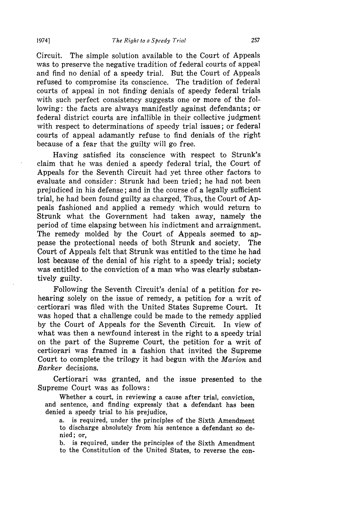Circuit. The simple solution available to the Court of Appeals was to preserve the negative tradition of federal courts of appeal and find no denial of a speedy trial. But the Court of Appeals refused to compromise its conscience. The tradition of federal courts of appeal in not finding denials of speedy federal trials with such perfect consistency suggests one or more of the following: the facts are always manifestly against defendants; or federal district courts are infallible in their collective judgment with respect to determinations of speedy trial issues; or federal courts of appeal adamantly refuse to find denials of the right because of a fear that the guilty will go free.

Having satisfied its conscience with respect to Strunk's claim that he was denied a speedy federal trial, the Court of Appeals for the Seventh Circuit had yet three other factors to evaluate and consider: Strunk had been tried; he had not been prejudiced in his defense; and in the course of a legally sufficient trial, he had been found guilty as charged. Thus, the Court of Appeals fashioned and applied a remedy which would return to Strunk what the Government had taken away, namely the period of time elapsing between his indictment and arraignment. The remedy molded by the Court of Appeals seemed to appease the protectional needs of both Strunk and society. The Court of Appeals felt that Strunk was entitled to the time he had lost because of the denial of his right to a speedy trial; society was entitled to the conviction of a man who was clearly substantively guilty.

Following the Seventh Circuit's denial of a petition for rehearing solely on the issue of remedy, a petition for a writ of certiorari was filed with the United States Supreme Court. It was hoped that a challenge could be made to the remedy applied by the Court of Appeals for the Seventh Circuit. In view of what was then a newfound interest in the right to a speedy trial on the part of the Supreme Court, the petition for a writ of certiorari was framed in a fashion that invited the Supreme Court to complete the trilogy it had begun with the *Marion* and *Barker* decisions.

Certiorari was granted, and the issue presented to the Supreme Court was as follows:

Whether a court, in reviewing a cause after trial, conviction, and sentence, and finding expressly that a defendant has been denied a speedy trial to his prejudice,

a. is required, under the principles of the Sixth Amendment to discharge absolutely from his sentence a defendant so denied; or,

b. is required, under the principles of the Sixth Amendment to the Constitution of the United States, to reverse the con-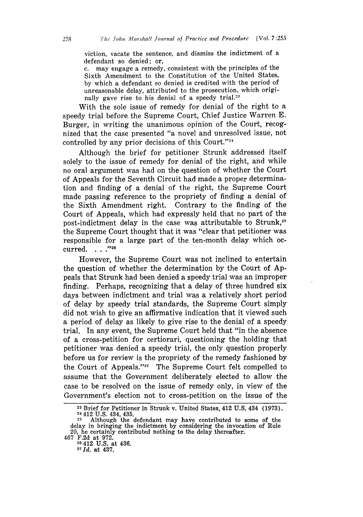viction, vacate the sentence, and dismiss the indictment of a defendant so denied; *or,*

c. may engage a remedy, consistent with the principles of the Sixth Amendment to the Constitution of the United States, by which a defendant so denied is credited with the period of unreasonable delay, attributed to the prosecution, which origially gave rise to his denial of a speedy trial.<sup>23</sup>

With the sole issue of remedy for denial of the right to a speedy trial before the Supreme Court, Chief Justice Warren E. Burger, in writing the unanimous opinion of the Court, recognized that the case presented "a novel and unresolved issue, not controlled by any prior decisions of this Court."<sup>24</sup>

Although the brief for petitioner Strunk addressed itself solely to the issue of remedy for denial of the right, and while no oral argument was had on the question of whether the Court of Appeals for the Seventh Circuit had made a proper determination and finding of a denial of the right, the Supreme Court made passing reference to the propriety of finding a denial of the Sixth Amendment right. Contrary to the finding of the Court of Appeals, which had expressly held that no part of the post-indictment delay in the case was attributable to Strunk,<sup>25</sup> the Supreme Court thought that it was "clear that petitioner was responsible for a large part of the ten-month delay which occurred. . . . "26

However, the Supreme Court was not inclined to entertain the question of whether the determination by the Court of Appeals that Strunk had been denied a speedy trial was an improper finding. Perhaps, recognizing that a delay of three hundred six days between indictment and trial was a relatively short period of delay by speedy trial standards, the Supreme Court simply did not wish to give an affirmative indication that it viewed such a period of delay as likely to give rise to the denial of a speedy trial. In any event, the Supreme Court held that "in the absence of a cross-petition for certiorari, questioning the holding that petitioner was denied a speedy trial, the only question properly before us for review is the propriety of the remedy fashioned by the Court of Appeals."<sup>27</sup> The Supreme Court felt compelled to assume that the Government deliberately elected to allow the case to be resolved on the issue of remedy only, in view of the Government's election not to cross-petition on the issue of the

467 F.2d at 972. **<sup>26</sup>**412 **U.S.** at 436. *<sup>2</sup>*

*7* **Id.** at 437.

**<sup>23</sup>**Brief for Petitioner in Strunk v. United States, 412 U.S. 434 (1973). <sup>24</sup> Brief for Feddoner in Struik v. Officer States, 412 0.13, 454 (1576)<br><sup>24</sup> 412 U.S. 434, 435.<br><sup>25</sup> Although the defendant may have contributed to some of the

delay in bringing the indictment by considering the invocation of Rule 20, he certainly contributed nothing to the delay thereafter.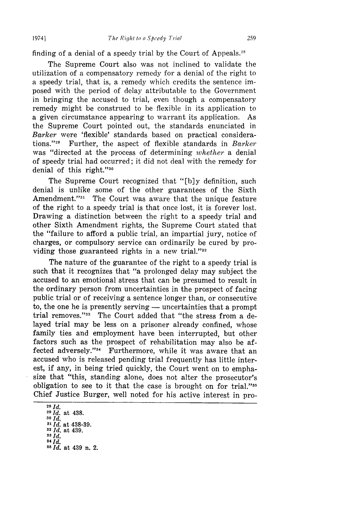finding of a denial of a speedy trial by the Court of Appeals.<sup>28</sup>

19741

The Supreme Court also was not inclined to validate the utilization of a compensatory remedy for a denial of the right to a speedy trial, that is, a remedy which credits the sentence imposed with the period of delay attributable to the Government in bringing the accused to trial, even though a compensatory remedy might be construed to be flexible in its application to a given circumstance appearing to warrant its application. As the Supreme Court pointed out, the standards enunciated in *Barker* were 'flexible' standards based on practical considerations."<sup>29</sup> Further, the aspect of flexible standards in *Barker* was "directed at the process of determining *whether* a denial of speedy trial had occurred; it did not deal with the remedy for denial of this right."30

The Supreme Court recognized that "[b]y definition, such denial is unlike some of the other guarantees of the Sixth Amendment."<sup>31</sup> The Court was aware that the unique feature of the right to a speedy trial is that once lost, it is forever lost. Drawing a distinction between the right to a speedy trial and other Sixth Amendment rights, the Supreme Court stated that the "failure to afford a public trial, an impartial jury, notice of charges, or compulsory service can ordinarily be cured by providing those guaranteed rights in a new trial." $32$ 

The nature of the guarantee of the right to a speedy trial is such that it recognizes that "a prolonged delay may subject the accused to an emotional stress that can be presumed to result in the ordinary person from uncertainties in the prospect of facing public trial or of receiving a sentence longer than, or consecutive to, the one he is presently serving — uncertainties that a prompt trial removes."<sup>33</sup> The Court added that "the stress from a delayed trial may be less on a prisoner already confined, whose family ties and employment have been interrupted, but other factors such as the prospect of rehabilitation may also be affected adversely."<sup>34</sup> Furthermore, while it was aware that an accused who is released pending trial frequently has little interest, if any, in being tried quickly, the Court went on to emphasize that "this, standing alone, does not alter the prosecutor's obligation to see to it that the case is brought on for trial."<sup>35</sup> Chief Justice Burger, well noted for his active interest in pro-

**<sup>28</sup>***Id. <sup>29</sup>Id.* at 438. **30** *Id. <sup>31</sup>Id.* at 438-39. **<sup>32</sup>***Id.* at 439. *33Id. 34 Id. 3 <sup>5</sup>Id.* at 439 n. 2.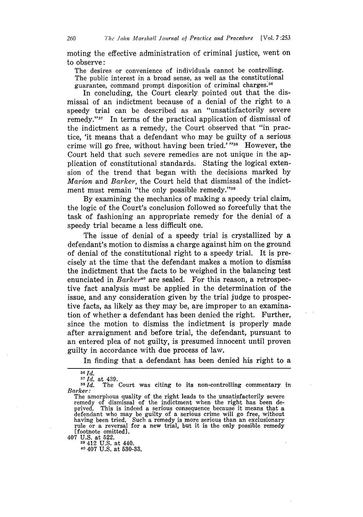moting the effective administration of criminal justice, went on to observe:

The desires or convenience of individuals cannot be controlling. The public interest in a broad sense, as well as the constitutional guarantee, command prompt disposition of criminal charges.<sup>36</sup>

In concluding, the Court clearly pointed out that the dismissal of an indictment because of a denial of the right to a speedy trial can be described as an "unsatisfactorily severe remedy." $37$  In terms of the practical application of dismissal of the indictment as a remedy, the Court observed that "in practice, 'it means that a defendant who may be guilty of a serious crime will go free, without having been tried.'"<sup>38</sup> However, the Court held that such severe remedies are not unique in the application of constitutional standards. Stating the logical extension of the trend that began with the decisions marked by *Marion* and *Barker,* the Court held that dismissal of the indictment must remain "the only possible remedy."<sup>39</sup>

By examining the mechanics of making a speedy trial claim, the logic of the Court's conclusion followed so forcefully that the task of fashioning an appropriate remedy for the denial of a speedy trial became a less difficult one.

The issue of denial of a speedy trial is crystallized by a defendant's motion to dismiss a charge against him on the ground of denial of the constitutional right to a speedy trial. It is precisely at the time that the defendant makes a motion to dismiss the indictment that the facts to be weighed in the balancing test enunciated in *Barker*<sup>40</sup> are sealed. For this reason, a retrospective fact analysis must be applied in the determination of the issue, and any consideration given by the trial judge to prospective facts, as likely as they may be, are improper to an examination of whether a defendant has been denied the right. Further, since the motion to dismiss the indictment is properly made after arraignment and before trial, the defendant, pursuant to an entered plea of not guilty, is presumed innocent until proven guilty in accordance with due process of law.

In finding that a defendant has been denied his right to a

407 U.S. at 522. **<sup>39</sup>**412 U.S. at 440.

40 407 U.S. at 530-33.

**<sup>36</sup>**Id.

**<sup>37</sup>** *Id.* at 439.

 $38\overline{Id}$ . The Court was citing to its non-controlling commentary in *Barker:*<br>The amorphous quality of the right leads to the unsatisfactorily severe

remedy of dismissal of the indictment when the right has been de-<br>prived. This is indeed a serious consequence because it means that a prived. This is indeed a serious consequence because it means that a defendant who may be guilty of a serious crime will go free, without having been tried. Such a remedy is more serious than an exclusionary rule or a reversal for a new trial, but it is the only possible remedy [footnote omitted].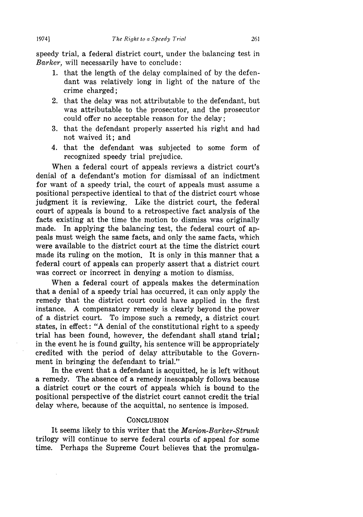speedy trial, a federal district court, under the balancing test in *Barker,* will necessarily have to conclude:

- 1. that the length of the delay complained of by the defendant was relatively long in light of the nature of the crime charged;
- 2. that the delay was not attributable to the defendant, but was attributable to the prosecutor, and the prosecutor could offer no acceptable reason for the delay;
- 3. that the defendant properly asserted his right and had not waived it; and
- 4. that the defendant was subjected to some form of recognized speedy trial prejudice.

When a federal court of appeals reviews a district court's denial of a defendant's motion for dismissal of an indictment for want of a speedy trial, the court of appeals must assume a positional perspective identical to that of the district court whose judgment it is reviewing. Like the district court, the federal court of appeals is bound to a retrospective fact analysis of the facts existing at the time the motion to dismiss was originally made. In applying the balancing test, the federal court of appeals must weigh the same facts, and only the same facts, which were available to the district court at the time the district court made its ruling on the motion. It is only in this manner that a federal court of appeals can properly assert that a district court was correct or incorrect in denying a motion to dismiss.

When a federal court of appeals makes the determination that a denial of a speedy trial has occurred, it can only apply the remedy that the district court could have applied in the first instance. A compensatory remedy is clearly beyond the power of a district court. To impose such a remedy, a district court states, in effect: "A denial of the constitutional right to a speedy trial has been found, however, the defendant shall stand trial; in the event he is found guilty, his sentence will be appropriately credited with the period of delay attributable to the Government in bringing the defendant to trial."

In the event that a defendant is acquitted, he is left without a remedy. The absence of a remedy inescapably follows because a district court or the court of appeals which is bound to the positional perspective of the district court cannot credit the trial delay where, because of the acquittal, no sentence is imposed.

#### **CONCLUSION**

It seems likely to this writer that the *Marion-Barker-Strunk* trilogy will continue to serve federal courts of appeal for some time. Perhaps the Supreme Court believes that the promulga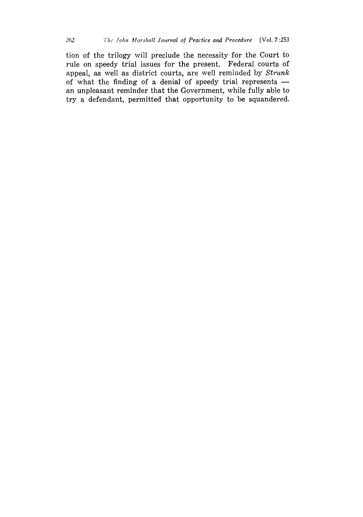tion of the trilogy will preclude the necessity for the Court to rule on speedy trial issues for the present. Federal courts of appeal, as well as district courts, are well reminded **by** *Strunk* of what the finding of a denial of speedy trial represents  an unpleasant reminder that the Government, while fully able to try a defendant, permitted that opportunity to be squandered.